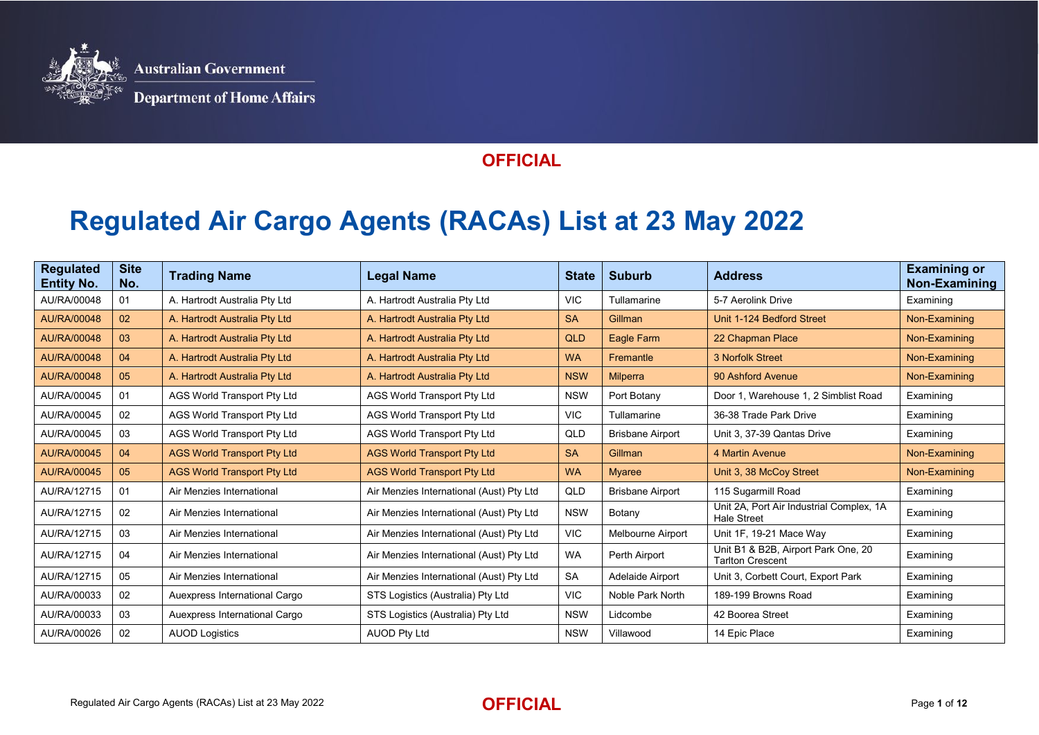

## **Regulated Air Cargo Agents (RACAs) List at 23 May 2022**

| <b>Regulated</b><br><b>Entity No.</b> | <b>Site</b><br>No. | <b>Trading Name</b>                | <b>Legal Name</b>                        | <b>State</b> | <b>Suburb</b>           | <b>Address</b>                                                 | <b>Examining or</b><br>Non-Examining |
|---------------------------------------|--------------------|------------------------------------|------------------------------------------|--------------|-------------------------|----------------------------------------------------------------|--------------------------------------|
| AU/RA/00048                           | 01                 | A. Hartrodt Australia Pty Ltd      | A. Hartrodt Australia Pty Ltd            | <b>VIC</b>   | Tullamarine             | 5-7 Aerolink Drive                                             | Examining                            |
| AU/RA/00048                           | 02 <sub>2</sub>    | A. Hartrodt Australia Pty Ltd      | A. Hartrodt Australia Pty Ltd            | <b>SA</b>    | Gillman                 | Unit 1-124 Bedford Street                                      | Non-Examining                        |
| AU/RA/00048                           | 03                 | A. Hartrodt Australia Pty Ltd      | A. Hartrodt Australia Pty Ltd            | <b>QLD</b>   | Eagle Farm              | 22 Chapman Place                                               | Non-Examining                        |
| AU/RA/00048                           | 04                 | A. Hartrodt Australia Pty Ltd      | A. Hartrodt Australia Pty Ltd            | <b>WA</b>    | Fremantle               | 3 Norfolk Street                                               | Non-Examining                        |
| AU/RA/00048                           | 05                 | A. Hartrodt Australia Pty Ltd      | A. Hartrodt Australia Pty Ltd            | <b>NSW</b>   | Milperra                | 90 Ashford Avenue                                              | Non-Examining                        |
| AU/RA/00045                           | 01                 | AGS World Transport Pty Ltd        | <b>AGS World Transport Pty Ltd</b>       | <b>NSW</b>   | Port Botany             | Door 1. Warehouse 1, 2 Simblist Road                           | Examining                            |
| AU/RA/00045                           | 02                 | AGS World Transport Pty Ltd        | <b>AGS World Transport Pty Ltd</b>       | VIC.         | Tullamarine             | 36-38 Trade Park Drive                                         | Examining                            |
| AU/RA/00045                           | 03                 | AGS World Transport Pty Ltd        | <b>AGS World Transport Pty Ltd</b>       | QLD          | <b>Brisbane Airport</b> | Unit 3, 37-39 Qantas Drive                                     | Examining                            |
| AU/RA/00045                           | 04                 | <b>AGS World Transport Pty Ltd</b> | <b>AGS World Transport Pty Ltd</b>       | <b>SA</b>    | Gillman                 | 4 Martin Avenue                                                | Non-Examining                        |
| AU/RA/00045                           | 05                 | <b>AGS World Transport Pty Ltd</b> | <b>AGS World Transport Pty Ltd</b>       | <b>WA</b>    | <b>Myaree</b>           | Unit 3, 38 McCoy Street                                        | Non-Examining                        |
| AU/RA/12715                           | 01                 | Air Menzies International          | Air Menzies International (Aust) Pty Ltd | QLD          | <b>Brisbane Airport</b> | 115 Sugarmill Road                                             | Examining                            |
| AU/RA/12715                           | 02                 | Air Menzies International          | Air Menzies International (Aust) Pty Ltd | <b>NSW</b>   | Botany                  | Unit 2A, Port Air Industrial Complex, 1A<br><b>Hale Street</b> | Examining                            |
| AU/RA/12715                           | 03                 | Air Menzies International          | Air Menzies International (Aust) Pty Ltd | <b>VIC</b>   | Melbourne Airport       | Unit 1F, 19-21 Mace Way                                        | Examining                            |
| AU/RA/12715                           | 04                 | Air Menzies International          | Air Menzies International (Aust) Pty Ltd | <b>WA</b>    | Perth Airport           | Unit B1 & B2B, Airport Park One, 20<br><b>Tarlton Crescent</b> | Examining                            |
| AU/RA/12715                           | 05                 | Air Menzies International          | Air Menzies International (Aust) Pty Ltd | <b>SA</b>    | Adelaide Airport        | Unit 3, Corbett Court, Export Park                             | Examining                            |
| AU/RA/00033                           | 02                 | Auexpress International Cargo      | STS Logistics (Australia) Pty Ltd        | VIC.         | Noble Park North        | 189-199 Browns Road                                            | Examining                            |
| AU/RA/00033                           | 03                 | Auexpress International Cargo      | STS Logistics (Australia) Pty Ltd        | <b>NSW</b>   | Lidcombe                | 42 Boorea Street                                               | Examining                            |
| AU/RA/00026                           | 02                 | <b>AUOD Logistics</b>              | <b>AUOD Pty Ltd</b>                      | <b>NSW</b>   | Villawood               | 14 Epic Place                                                  | Examining                            |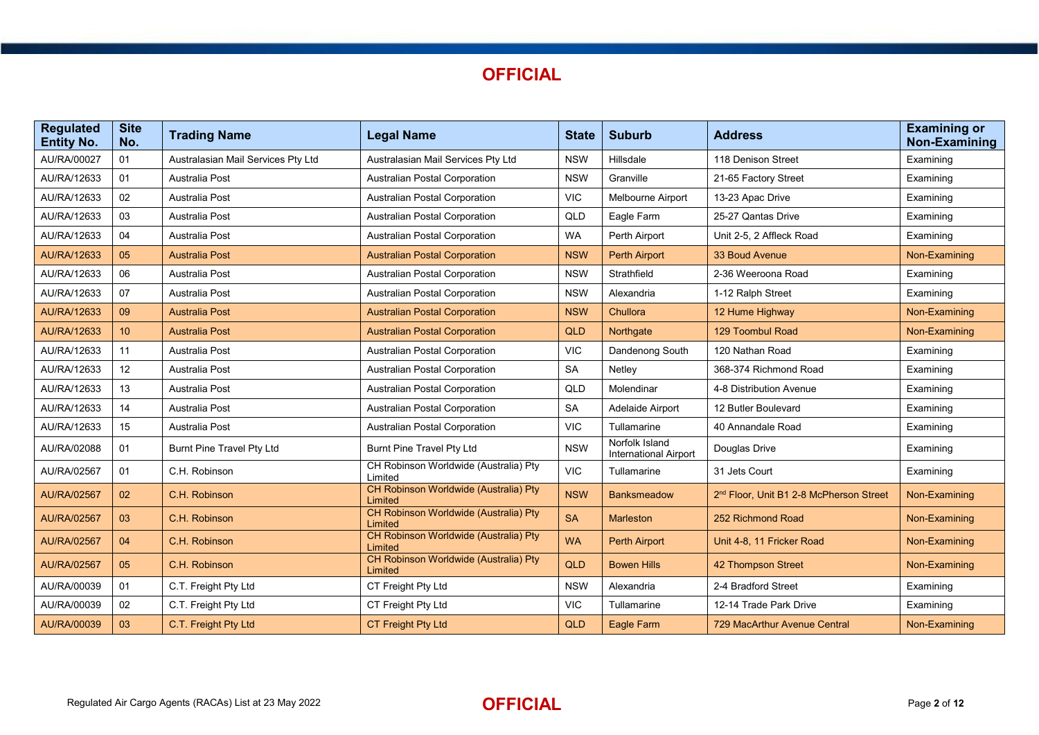

| <b>Regulated</b><br><b>Entity No.</b> | <b>Site</b><br>No. | <b>Trading Name</b>                | <b>Legal Name</b>                                       | <b>State</b> | <b>Suburb</b>                                  | <b>Address</b>                                      | <b>Examining or</b><br><b>Non-Examining</b> |
|---------------------------------------|--------------------|------------------------------------|---------------------------------------------------------|--------------|------------------------------------------------|-----------------------------------------------------|---------------------------------------------|
| AU/RA/00027                           | 01                 | Australasian Mail Services Pty Ltd | Australasian Mail Services Pty Ltd                      | <b>NSW</b>   | Hillsdale                                      | 118 Denison Street                                  | Examining                                   |
| AU/RA/12633                           | 01                 | Australia Post                     | Australian Postal Corporation                           | <b>NSW</b>   | Granville                                      | 21-65 Factory Street                                | Examining                                   |
| AU/RA/12633                           | 02                 | Australia Post                     | <b>Australian Postal Corporation</b>                    | <b>VIC</b>   | Melbourne Airport                              | 13-23 Apac Drive                                    | Examining                                   |
| AU/RA/12633                           | 03                 | Australia Post                     | Australian Postal Corporation                           | QLD          | Eagle Farm                                     | 25-27 Qantas Drive                                  | Examining                                   |
| AU/RA/12633                           | 04                 | <b>Australia Post</b>              | Australian Postal Corporation                           | <b>WA</b>    | Perth Airport                                  | Unit 2-5, 2 Affleck Road                            | Examining                                   |
| <b>AU/RA/12633</b>                    | 05                 | <b>Australia Post</b>              | <b>Australian Postal Corporation</b>                    | <b>NSW</b>   | <b>Perth Airport</b>                           | 33 Boud Avenue                                      | Non-Examining                               |
| AU/RA/12633                           | 06                 | <b>Australia Post</b>              | <b>Australian Postal Corporation</b>                    | <b>NSW</b>   | Strathfield                                    | 2-36 Weeroona Road                                  | Examining                                   |
| AU/RA/12633                           | 07                 | <b>Australia Post</b>              | <b>Australian Postal Corporation</b>                    | <b>NSW</b>   | Alexandria                                     | 1-12 Ralph Street                                   | Examining                                   |
| <b>AU/RA/12633</b>                    | 09                 | <b>Australia Post</b>              | <b>Australian Postal Corporation</b>                    | <b>NSW</b>   | Chullora                                       | 12 Hume Highway                                     | Non-Examining                               |
| <b>AU/RA/12633</b>                    | 10 <sup>°</sup>    | <b>Australia Post</b>              | <b>Australian Postal Corporation</b>                    | <b>QLD</b>   | Northgate                                      | 129 Toombul Road                                    | Non-Examining                               |
| AU/RA/12633                           | 11                 | <b>Australia Post</b>              | Australian Postal Corporation                           | <b>VIC</b>   | Dandenong South                                | 120 Nathan Road                                     | Examining                                   |
| AU/RA/12633                           | $12 \,$            | Australia Post                     | <b>Australian Postal Corporation</b>                    | <b>SA</b>    | Netley                                         | 368-374 Richmond Road                               | Examining                                   |
| AU/RA/12633                           | 13                 | Australia Post                     | Australian Postal Corporation                           | QLD          | Molendinar                                     | 4-8 Distribution Avenue                             | Examining                                   |
| AU/RA/12633                           | 14                 | <b>Australia Post</b>              | Australian Postal Corporation                           | <b>SA</b>    | Adelaide Airport                               | 12 Butler Boulevard                                 | Examining                                   |
| AU/RA/12633                           | 15 <sub>15</sub>   | <b>Australia Post</b>              | <b>Australian Postal Corporation</b>                    | <b>VIC</b>   | Tullamarine                                    | 40 Annandale Road                                   | Examining                                   |
| AU/RA/02088                           | 01                 | Burnt Pine Travel Pty Ltd          | Burnt Pine Travel Pty Ltd                               | <b>NSW</b>   | Norfolk Island<br><b>International Airport</b> | Douglas Drive                                       | Examining                                   |
| AU/RA/02567                           | 01                 | C.H. Robinson                      | CH Robinson Worldwide (Australia) Pty<br>Limited        | <b>VIC</b>   | Tullamarine                                    | 31 Jets Court                                       | Examining                                   |
| <b>AU/RA/02567</b>                    | 02                 | C.H. Robinson                      | CH Robinson Worldwide (Australia) Pty<br>Limited        | <b>NSW</b>   | <b>Banksmeadow</b>                             | 2 <sup>nd</sup> Floor, Unit B1 2-8 McPherson Street | Non-Examining                               |
| <b>AU/RA/02567</b>                    | 03                 | C.H. Robinson                      | CH Robinson Worldwide (Australia) Pty<br>Limited        | <b>SA</b>    | Marleston                                      | 252 Richmond Road                                   | Non-Examining                               |
| AU/RA/02567                           | 04                 | C.H. Robinson                      | CH Robinson Worldwide (Australia) Pty<br>Limited        | <b>WA</b>    | <b>Perth Airport</b>                           | Unit 4-8, 11 Fricker Road                           | Non-Examining                               |
| <b>AU/RA/02567</b>                    | 05                 | C.H. Robinson                      | <b>CH Robinson Worldwide (Australia) Pty</b><br>Limited | QLD          | <b>Bowen Hills</b>                             | 42 Thompson Street                                  | Non-Examining                               |
| AU/RA/00039                           | 01                 | C.T. Freight Pty Ltd               | CT Freight Pty Ltd                                      | <b>NSW</b>   | Alexandria                                     | 2-4 Bradford Street                                 | Examining                                   |
| AU/RA/00039                           | 02                 | C.T. Freight Pty Ltd               | CT Freight Pty Ltd                                      | <b>VIC</b>   | Tullamarine                                    | 12-14 Trade Park Drive                              | Examining                                   |
| AU/RA/00039                           | 03                 | C.T. Freight Pty Ltd               | CT Freight Pty Ltd                                      | QLD          | Eagle Farm                                     | <b>729 MacArthur Avenue Central</b>                 | Non-Examining                               |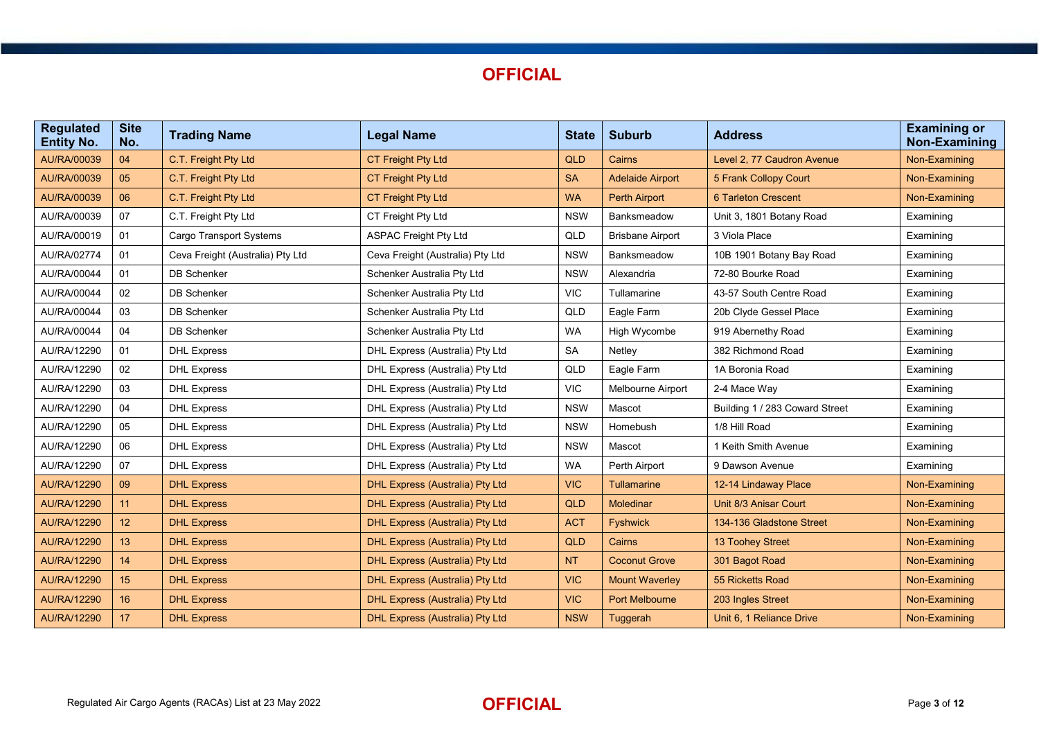

| <b>Regulated</b><br><b>Entity No.</b> | <b>Site</b><br>No. | <b>Trading Name</b>              | <b>Legal Name</b>                      | <b>State</b> | <b>Suburb</b>           | <b>Address</b>                 | <b>Examining or</b><br><b>Non-Examining</b> |
|---------------------------------------|--------------------|----------------------------------|----------------------------------------|--------------|-------------------------|--------------------------------|---------------------------------------------|
| AU/RA/00039                           | 04                 | C.T. Freight Pty Ltd             | <b>CT Freight Pty Ltd</b>              | QLD          | Cairns                  | Level 2, 77 Caudron Avenue     | Non-Examining                               |
| AU/RA/00039                           | 05                 | C.T. Freight Pty Ltd             | CT Freight Pty Ltd                     | <b>SA</b>    | <b>Adelaide Airport</b> | 5 Frank Collopy Court          | Non-Examining                               |
| AU/RA/00039                           | 06                 | C.T. Freight Pty Ltd             | CT Freight Pty Ltd                     | <b>WA</b>    | <b>Perth Airport</b>    | <b>6 Tarleton Crescent</b>     | Non-Examining                               |
| AU/RA/00039                           | 07                 | C.T. Freight Pty Ltd             | CT Freight Pty Ltd                     | <b>NSW</b>   | Banksmeadow             | Unit 3, 1801 Botany Road       | Examining                                   |
| AU/RA/00019                           | 01                 | <b>Cargo Transport Systems</b>   | <b>ASPAC Freight Pty Ltd</b>           | QLD          | <b>Brisbane Airport</b> | 3 Viola Place                  | Examining                                   |
| AU/RA/02774                           | 01                 | Ceva Freight (Australia) Pty Ltd | Ceva Freight (Australia) Pty Ltd       | <b>NSW</b>   | Banksmeadow             | 10B 1901 Botany Bay Road       | Examining                                   |
| AU/RA/00044                           | 01                 | <b>DB Schenker</b>               | Schenker Australia Pty Ltd             | <b>NSW</b>   | Alexandria              | 72-80 Bourke Road              | Examining                                   |
| AU/RA/00044                           | 02                 | <b>DB Schenker</b>               | Schenker Australia Pty Ltd             | <b>VIC</b>   | Tullamarine             | 43-57 South Centre Road        | Examining                                   |
| AU/RA/00044                           | 03                 | <b>DB Schenker</b>               | Schenker Australia Pty Ltd             | QLD          | Eagle Farm              | 20b Clyde Gessel Place         | Examining                                   |
| AU/RA/00044                           | 04                 | <b>DB Schenker</b>               | Schenker Australia Pty Ltd             | <b>WA</b>    | High Wycombe            | 919 Abernethy Road             | Examining                                   |
| AU/RA/12290                           | 01                 | <b>DHL Express</b>               | DHL Express (Australia) Pty Ltd        | <b>SA</b>    | Netley                  | 382 Richmond Road              | Examining                                   |
| AU/RA/12290                           | 02                 | <b>DHL Express</b>               | DHL Express (Australia) Pty Ltd        | QLD          | Eagle Farm              | 1A Boronia Road                | Examining                                   |
| AU/RA/12290                           | 03                 | <b>DHL Express</b>               | DHL Express (Australia) Pty Ltd        | <b>VIC</b>   | Melbourne Airport       | 2-4 Mace Way                   | Examining                                   |
| AU/RA/12290                           | 04                 | <b>DHL Express</b>               | DHL Express (Australia) Pty Ltd        | <b>NSW</b>   | Mascot                  | Building 1 / 283 Coward Street | Examining                                   |
| AU/RA/12290                           | 05                 | <b>DHL Express</b>               | DHL Express (Australia) Pty Ltd        | <b>NSW</b>   | Homebush                | 1/8 Hill Road                  | Examining                                   |
| AU/RA/12290                           | 06                 | <b>DHL Express</b>               | DHL Express (Australia) Pty Ltd        | <b>NSW</b>   | Mascot                  | 1 Keith Smith Avenue           | Examining                                   |
| AU/RA/12290                           | 07                 | <b>DHL Express</b>               | DHL Express (Australia) Pty Ltd        | <b>WA</b>    | Perth Airport           | 9 Dawson Avenue                | Examining                                   |
| AU/RA/12290                           | 09                 | <b>DHL Express</b>               | DHL Express (Australia) Pty Ltd        | <b>VIC</b>   | <b>Tullamarine</b>      | 12-14 Lindaway Place           | Non-Examining                               |
| AU/RA/12290                           | 11                 | <b>DHL Express</b>               | DHL Express (Australia) Pty Ltd        | QLD          | <b>Moledinar</b>        | Unit 8/3 Anisar Court          | Non-Examining                               |
| <b>AU/RA/12290</b>                    | 12 <sup>°</sup>    | <b>DHL Express</b>               | DHL Express (Australia) Pty Ltd        | <b>ACT</b>   | <b>Fyshwick</b>         | 134-136 Gladstone Street       | Non-Examining                               |
| AU/RA/12290                           | 13                 | <b>DHL Express</b>               | DHL Express (Australia) Pty Ltd        | <b>QLD</b>   | Cairns                  | 13 Toohey Street               | Non-Examining                               |
| AU/RA/12290                           | 14                 | <b>DHL Express</b>               | DHL Express (Australia) Pty Ltd        | <b>NT</b>    | <b>Coconut Grove</b>    | 301 Bagot Road                 | Non-Examining                               |
| AU/RA/12290                           | 15                 | <b>DHL Express</b>               | DHL Express (Australia) Pty Ltd        | <b>VIC</b>   | <b>Mount Waverley</b>   | 55 Ricketts Road               | Non-Examining                               |
| AU/RA/12290                           | 16                 | <b>DHL Express</b>               | <b>DHL Express (Australia) Pty Ltd</b> | <b>VIC</b>   | <b>Port Melbourne</b>   | 203 Ingles Street              | Non-Examining                               |
| AU/RA/12290                           | 17                 | <b>DHL Express</b>               | DHL Express (Australia) Pty Ltd        | <b>NSW</b>   | Tuggerah                | Unit 6. 1 Reliance Drive       | Non-Examining                               |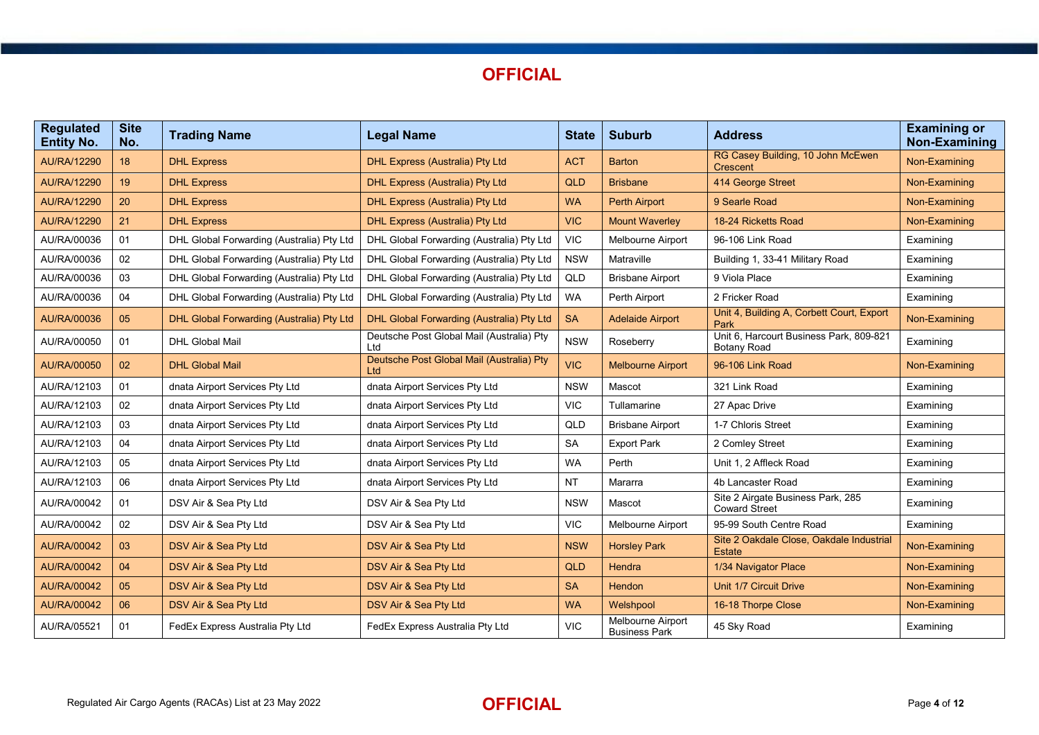

| <b>Regulated</b><br><b>Entity No.</b> | <b>Site</b><br>No. | <b>Trading Name</b>                       | <b>Legal Name</b>                                | <b>State</b> | <b>Suburb</b>                             | <b>Address</b>                                                | <b>Examining or</b><br>Non-Examining |
|---------------------------------------|--------------------|-------------------------------------------|--------------------------------------------------|--------------|-------------------------------------------|---------------------------------------------------------------|--------------------------------------|
| AU/RA/12290                           | 18                 | <b>DHL Express</b>                        | <b>DHL Express (Australia) Pty Ltd</b>           | <b>ACT</b>   | <b>Barton</b>                             | RG Casey Building, 10 John McEwen<br><b>Crescent</b>          | Non-Examining                        |
| <b>AU/RA/12290</b>                    | 19                 | <b>DHL Express</b>                        | <b>DHL Express (Australia) Pty Ltd</b>           | QLD          | <b>Brisbane</b>                           | 414 George Street                                             | Non-Examining                        |
| AU/RA/12290                           | 20                 | <b>DHL Express</b>                        | <b>DHL Express (Australia) Pty Ltd</b>           | <b>WA</b>    | <b>Perth Airport</b>                      | 9 Searle Road                                                 | Non-Examining                        |
| AU/RA/12290                           | 21                 | <b>DHL Express</b>                        | DHL Express (Australia) Pty Ltd                  | <b>VIC</b>   | <b>Mount Waverley</b>                     | 18-24 Ricketts Road                                           | Non-Examining                        |
| AU/RA/00036                           | 01                 | DHL Global Forwarding (Australia) Pty Ltd | DHL Global Forwarding (Australia) Pty Ltd        | <b>VIC</b>   | Melbourne Airport                         | 96-106 Link Road                                              | Examining                            |
| AU/RA/00036                           | 02                 | DHL Global Forwarding (Australia) Pty Ltd | DHL Global Forwarding (Australia) Pty Ltd        | <b>NSW</b>   | Matraville                                | Building 1, 33-41 Military Road                               | Examining                            |
| AU/RA/00036                           | 03                 | DHL Global Forwarding (Australia) Pty Ltd | DHL Global Forwarding (Australia) Pty Ltd        | QLD          | <b>Brisbane Airport</b>                   | 9 Viola Place                                                 | Examining                            |
| AU/RA/00036                           | 04                 | DHL Global Forwarding (Australia) Pty Ltd | DHL Global Forwarding (Australia) Pty Ltd        | <b>WA</b>    | Perth Airport                             | 2 Fricker Road                                                | Examining                            |
| AU/RA/00036                           | 05                 | DHL Global Forwarding (Australia) Pty Ltd | DHL Global Forwarding (Australia) Pty Ltd        | <b>SA</b>    | <b>Adelaide Airport</b>                   | Unit 4, Building A, Corbett Court, Export<br>Park             | Non-Examining                        |
| AU/RA/00050                           | 01                 | <b>DHL Global Mail</b>                    | Deutsche Post Global Mail (Australia) Pty<br>Ltd | <b>NSW</b>   | Roseberry                                 | Unit 6, Harcourt Business Park, 809-821<br><b>Botany Road</b> | Examining                            |
| AU/RA/00050                           | 02                 | <b>DHL Global Mail</b>                    | Deutsche Post Global Mail (Australia) Pty<br>Ltd | <b>VIC</b>   | <b>Melbourne Airport</b>                  | 96-106 Link Road                                              | Non-Examining                        |
| AU/RA/12103                           | 01                 | dnata Airport Services Pty Ltd            | dnata Airport Services Pty Ltd                   | <b>NSW</b>   | Mascot                                    | 321 Link Road                                                 | Examining                            |
| AU/RA/12103                           | 02                 | dnata Airport Services Pty Ltd            | dnata Airport Services Pty Ltd                   | <b>VIC</b>   | Tullamarine                               | 27 Apac Drive                                                 | Examining                            |
| AU/RA/12103                           | 03                 | dnata Airport Services Pty Ltd            | dnata Airport Services Pty Ltd                   | QLD          | <b>Brisbane Airport</b>                   | 1-7 Chloris Street                                            | Examining                            |
| AU/RA/12103                           | 04                 | dnata Airport Services Pty Ltd            | dnata Airport Services Pty Ltd                   | <b>SA</b>    | <b>Export Park</b>                        | 2 Comley Street                                               | Examining                            |
| AU/RA/12103                           | 05                 | dnata Airport Services Pty Ltd            | dnata Airport Services Pty Ltd                   | <b>WA</b>    | Perth                                     | Unit 1. 2 Affleck Road                                        | Examining                            |
| AU/RA/12103                           | 06                 | dnata Airport Services Pty Ltd            | dnata Airport Services Pty Ltd                   | <b>NT</b>    | Mararra                                   | 4b Lancaster Road                                             | Examining                            |
| AU/RA/00042                           | 01                 | DSV Air & Sea Pty Ltd                     | DSV Air & Sea Pty Ltd                            | <b>NSW</b>   | Mascot                                    | Site 2 Airgate Business Park, 285<br><b>Coward Street</b>     | Examining                            |
| AU/RA/00042                           | 02                 | DSV Air & Sea Pty Ltd                     | DSV Air & Sea Pty Ltd                            | <b>VIC</b>   | Melbourne Airport                         | 95-99 South Centre Road                                       | Examining                            |
| <b>AU/RA/00042</b>                    | 03                 | DSV Air & Sea Pty Ltd                     | DSV Air & Sea Pty Ltd                            | <b>NSW</b>   | <b>Horsley Park</b>                       | Site 2 Oakdale Close, Oakdale Industrial<br><b>Estate</b>     | Non-Examining                        |
| AU/RA/00042                           | 04                 | DSV Air & Sea Pty Ltd                     | DSV Air & Sea Pty Ltd                            | <b>QLD</b>   | Hendra                                    | 1/34 Navigator Place                                          | Non-Examining                        |
| AU/RA/00042                           | 05                 | DSV Air & Sea Pty Ltd                     | DSV Air & Sea Pty Ltd                            | <b>SA</b>    | <b>Hendon</b>                             | Unit 1/7 Circuit Drive                                        | Non-Examining                        |
| AU/RA/00042                           | 06                 | DSV Air & Sea Pty Ltd                     | DSV Air & Sea Pty Ltd                            | <b>WA</b>    | Welshpool                                 | 16-18 Thorpe Close                                            | Non-Examining                        |
| AU/RA/05521                           | 01                 | FedEx Express Australia Pty Ltd           | FedEx Express Australia Pty Ltd                  | <b>VIC</b>   | Melbourne Airport<br><b>Business Park</b> | 45 Sky Road                                                   | Examining                            |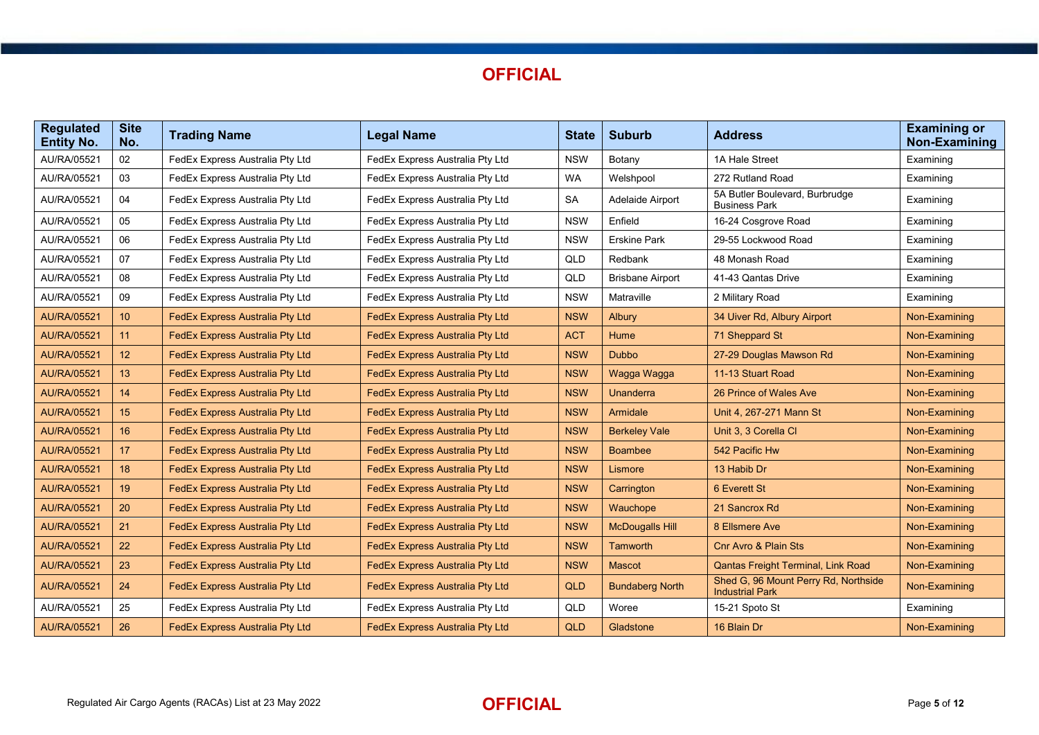

| <b>Regulated</b><br><b>Entity No.</b> | <b>Site</b><br>No. | <b>Trading Name</b>                    | <b>Legal Name</b>                      | <b>State</b> | <b>Suburb</b>           | <b>Address</b>                                                 | <b>Examining or</b><br>Non-Examining |
|---------------------------------------|--------------------|----------------------------------------|----------------------------------------|--------------|-------------------------|----------------------------------------------------------------|--------------------------------------|
| AU/RA/05521                           | 02                 | FedEx Express Australia Pty Ltd        | FedEx Express Australia Pty Ltd        | <b>NSW</b>   | Botany                  | 1A Hale Street                                                 | Examining                            |
| AU/RA/05521                           | 03                 | FedEx Express Australia Pty Ltd        | FedEx Express Australia Pty Ltd        | <b>WA</b>    | Welshpool               | 272 Rutland Road                                               | Examining                            |
| AU/RA/05521                           | 04                 | FedEx Express Australia Pty Ltd        | FedEx Express Australia Pty Ltd        | <b>SA</b>    | Adelaide Airport        | 5A Butler Boulevard, Burbrudge<br><b>Business Park</b>         | Examining                            |
| AU/RA/05521                           | 05                 | FedEx Express Australia Pty Ltd        | FedEx Express Australia Pty Ltd        | <b>NSW</b>   | Enfield                 | 16-24 Cosgrove Road                                            | Examining                            |
| AU/RA/05521                           | 06                 | FedEx Express Australia Pty Ltd        | FedEx Express Australia Pty Ltd        | <b>NSW</b>   | <b>Erskine Park</b>     | 29-55 Lockwood Road                                            | Examining                            |
| AU/RA/05521                           | 07                 | FedEx Express Australia Pty Ltd        | FedEx Express Australia Pty Ltd        | QLD          | Redbank                 | 48 Monash Road                                                 | Examining                            |
| AU/RA/05521                           | 08                 | FedEx Express Australia Pty Ltd        | FedEx Express Australia Pty Ltd        | QLD          | <b>Brisbane Airport</b> | 41-43 Qantas Drive                                             | Examining                            |
| AU/RA/05521                           | 09                 | FedEx Express Australia Pty Ltd        | FedEx Express Australia Pty Ltd        | <b>NSW</b>   | Matraville              | 2 Military Road                                                | Examining                            |
| <b>AU/RA/05521</b>                    | 10 <sup>°</sup>    | FedEx Express Australia Pty Ltd        | FedEx Express Australia Pty Ltd        | <b>NSW</b>   | <b>Albury</b>           | 34 Uiver Rd, Albury Airport                                    | Non-Examining                        |
| AU/RA/05521                           | 11                 | FedEx Express Australia Pty Ltd        | FedEx Express Australia Pty Ltd        | <b>ACT</b>   | Hume                    | 71 Sheppard St                                                 | Non-Examining                        |
| AU/RA/05521                           | 12 <sup>2</sup>    | FedEx Express Australia Pty Ltd        | <b>FedEx Express Australia Pty Ltd</b> | <b>NSW</b>   | <b>Dubbo</b>            | 27-29 Douglas Mawson Rd                                        | Non-Examining                        |
| <b>AU/RA/05521</b>                    | 13 <sup>°</sup>    | FedEx Express Australia Pty Ltd        | FedEx Express Australia Pty Ltd        | <b>NSW</b>   | Wagga Wagga             | 11-13 Stuart Road                                              | Non-Examining                        |
| <b>AU/RA/05521</b>                    | 14                 | <b>FedEx Express Australia Pty Ltd</b> | FedEx Express Australia Pty Ltd        | <b>NSW</b>   | <b>Unanderra</b>        | 26 Prince of Wales Ave                                         | Non-Examining                        |
| <b>AU/RA/05521</b>                    | 15                 | <b>FedEx Express Australia Pty Ltd</b> | <b>FedEx Express Australia Pty Ltd</b> | <b>NSW</b>   | Armidale                | Unit 4, 267-271 Mann St                                        | Non-Examining                        |
| AU/RA/05521                           | 16                 | <b>FedEx Express Australia Pty Ltd</b> | <b>FedEx Express Australia Pty Ltd</b> | <b>NSW</b>   | <b>Berkeley Vale</b>    | Unit 3, 3 Corella Cl                                           | Non-Examining                        |
| AU/RA/05521                           | 17 <sup>2</sup>    | FedEx Express Australia Pty Ltd        | <b>FedEx Express Australia Pty Ltd</b> | <b>NSW</b>   | <b>Boambee</b>          | 542 Pacific Hw                                                 | Non-Examining                        |
| <b>AU/RA/05521</b>                    | 18                 | <b>FedEx Express Australia Pty Ltd</b> | <b>FedEx Express Australia Pty Ltd</b> | <b>NSW</b>   | Lismore                 | 13 Habib Dr                                                    | Non-Examining                        |
| AU/RA/05521                           | 19                 | <b>FedEx Express Australia Pty Ltd</b> | <b>FedEx Express Australia Pty Ltd</b> | <b>NSW</b>   | Carrington              | 6 Everett St                                                   | Non-Examining                        |
| AU/RA/05521                           | 20                 | <b>FedEx Express Australia Pty Ltd</b> | <b>FedEx Express Australia Pty Ltd</b> | <b>NSW</b>   | Wauchope                | 21 Sancrox Rd                                                  | Non-Examining                        |
| AU/RA/05521                           | 21                 | <b>FedEx Express Australia Pty Ltd</b> | <b>FedEx Express Australia Pty Ltd</b> | <b>NSW</b>   | <b>McDougalls Hill</b>  | 8 Ellsmere Ave                                                 | Non-Examining                        |
| <b>AU/RA/05521</b>                    | 22                 | FedEx Express Australia Pty Ltd        | FedEx Express Australia Pty Ltd        | <b>NSW</b>   | <b>Tamworth</b>         | <b>Cnr Avro &amp; Plain Sts</b>                                | Non-Examining                        |
| <b>AU/RA/05521</b>                    | 23                 | FedEx Express Australia Pty Ltd        | FedEx Express Australia Pty Ltd        | <b>NSW</b>   | <b>Mascot</b>           | Qantas Freight Terminal, Link Road                             | Non-Examining                        |
| AU/RA/05521                           | 24                 | FedEx Express Australia Pty Ltd        | FedEx Express Australia Pty Ltd        | <b>QLD</b>   | <b>Bundaberg North</b>  | Shed G, 96 Mount Perry Rd, Northside<br><b>Industrial Park</b> | Non-Examining                        |
| AU/RA/05521                           | 25                 | FedEx Express Australia Pty Ltd        | FedEx Express Australia Pty Ltd        | QLD          | Woree                   | 15-21 Spoto St                                                 | Examining                            |
| AU/RA/05521                           | 26                 | <b>FedEx Express Australia Pty Ltd</b> | <b>FedEx Express Australia Pty Ltd</b> | <b>QLD</b>   | Gladstone               | 16 Blain Dr                                                    | Non-Examining                        |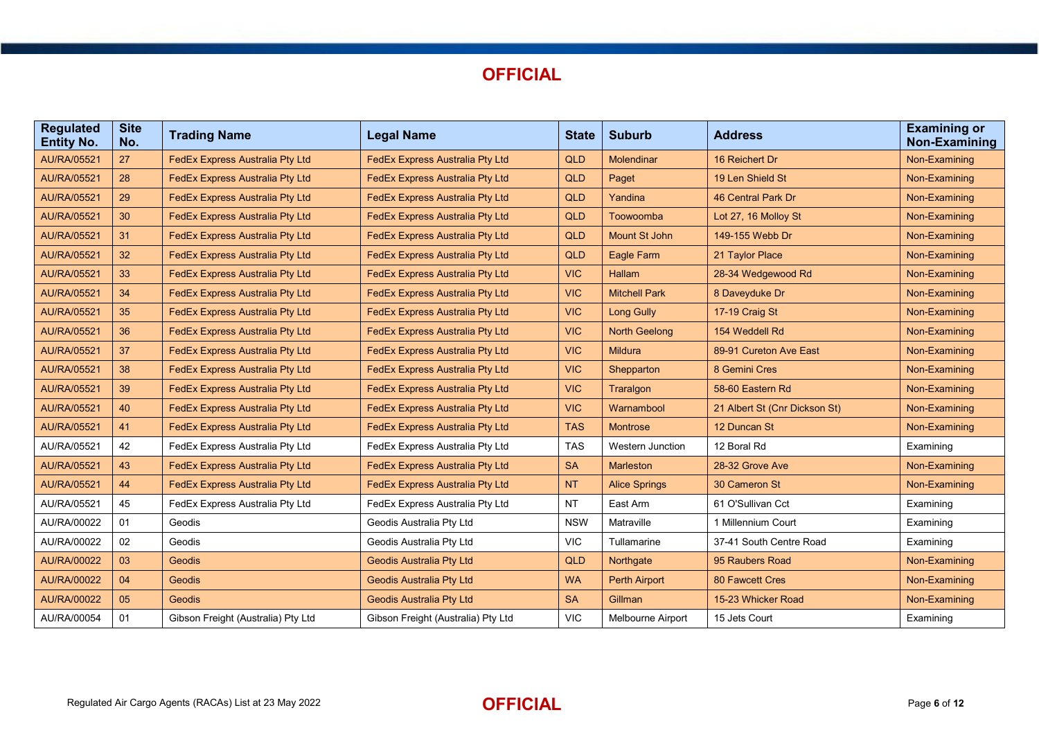

| <b>Regulated</b><br><b>Entity No.</b> | <b>Site</b><br>No. | <b>Trading Name</b>                    | <b>Legal Name</b>                      | <b>State</b> | <b>Suburb</b>           | <b>Address</b>                | <b>Examining or</b><br>Non-Examining |
|---------------------------------------|--------------------|----------------------------------------|----------------------------------------|--------------|-------------------------|-------------------------------|--------------------------------------|
| <b>AU/RA/05521</b>                    | 27                 | <b>FedEx Express Australia Pty Ltd</b> | <b>FedEx Express Australia Pty Ltd</b> | QLD          | <b>Molendinar</b>       | 16 Reichert Dr                | Non-Examining                        |
| AU/RA/05521                           | 28                 | FedEx Express Australia Pty Ltd        | FedEx Express Australia Pty Ltd        | <b>QLD</b>   | Paget                   | 19 Len Shield St              | Non-Examining                        |
| AU/RA/05521                           | 29                 | <b>FedEx Express Australia Pty Ltd</b> | FedEx Express Australia Pty Ltd        | <b>QLD</b>   | Yandina                 | 46 Central Park Dr            | Non-Examining                        |
| AU/RA/05521                           | 30                 | FedEx Express Australia Pty Ltd        | <b>FedEx Express Australia Pty Ltd</b> | <b>QLD</b>   | Toowoomba               | Lot 27, 16 Molloy St          | Non-Examining                        |
| <b>AU/RA/05521</b>                    | 31                 | <b>FedEx Express Australia Pty Ltd</b> | <b>FedEx Express Australia Pty Ltd</b> | <b>QLD</b>   | Mount St John           | 149-155 Webb Dr               | Non-Examining                        |
| AU/RA/05521                           | 32                 | <b>FedEx Express Australia Pty Ltd</b> | <b>FedEx Express Australia Pty Ltd</b> | <b>QLD</b>   | <b>Eagle Farm</b>       | 21 Taylor Place               | Non-Examining                        |
| <b>AU/RA/05521</b>                    | 33                 | FedEx Express Australia Pty Ltd        | FedEx Express Australia Pty Ltd        | <b>VIC</b>   | Hallam                  | 28-34 Wedgewood Rd            | Non-Examining                        |
| <b>AU/RA/05521</b>                    | 34                 | <b>FedEx Express Australia Pty Ltd</b> | <b>FedEx Express Australia Pty Ltd</b> | <b>VIC</b>   | <b>Mitchell Park</b>    | 8 Daveyduke Dr                | Non-Examining                        |
| AU/RA/05521                           | 35                 | <b>FedEx Express Australia Pty Ltd</b> | <b>FedEx Express Australia Pty Ltd</b> | <b>VIC</b>   | <b>Long Gully</b>       | 17-19 Craig St                | Non-Examining                        |
| AU/RA/05521                           | 36                 | FedEx Express Australia Pty Ltd        | FedEx Express Australia Pty Ltd        | <b>VIC</b>   | <b>North Geelong</b>    | 154 Weddell Rd                | Non-Examining                        |
| AU/RA/05521                           | 37                 | <b>FedEx Express Australia Pty Ltd</b> | FedEx Express Australia Pty Ltd        | <b>VIC</b>   | <b>Mildura</b>          | 89-91 Cureton Ave East        | Non-Examining                        |
| AU/RA/05521                           | 38                 | <b>FedEx Express Australia Pty Ltd</b> | <b>FedEx Express Australia Pty Ltd</b> | <b>VIC</b>   | Shepparton              | 8 Gemini Cres                 | Non-Examining                        |
| <b>AU/RA/05521</b>                    | 39                 | FedEx Express Australia Pty Ltd        | FedEx Express Australia Pty Ltd        | <b>VIC</b>   | Traralgon               | 58-60 Eastern Rd              | Non-Examining                        |
| AU/RA/05521                           | 40                 | FedEx Express Australia Pty Ltd        | <b>FedEx Express Australia Pty Ltd</b> | <b>VIC</b>   | Warnambool              | 21 Albert St (Cnr Dickson St) | Non-Examining                        |
| AU/RA/05521                           | 41                 | <b>FedEx Express Australia Pty Ltd</b> | <b>FedEx Express Australia Pty Ltd</b> | <b>TAS</b>   | <b>Montrose</b>         | 12 Duncan St                  | Non-Examining                        |
| AU/RA/05521                           | 42                 | FedEx Express Australia Pty Ltd        | FedEx Express Australia Pty Ltd        | <b>TAS</b>   | <b>Western Junction</b> | 12 Boral Rd                   | Examining                            |
| AU/RA/05521                           | 43                 | <b>FedEx Express Australia Pty Ltd</b> | <b>FedEx Express Australia Pty Ltd</b> | <b>SA</b>    | Marleston               | 28-32 Grove Ave               | Non-Examining                        |
| AU/RA/05521                           | 44                 | <b>FedEx Express Australia Pty Ltd</b> | <b>FedEx Express Australia Pty Ltd</b> | <b>NT</b>    | <b>Alice Springs</b>    | 30 Cameron St                 | Non-Examining                        |
| AU/RA/05521                           | 45                 | FedEx Express Australia Pty Ltd        | FedEx Express Australia Pty Ltd        | <b>NT</b>    | East Arm                | 61 O'Sullivan Cct             | Examining                            |
| AU/RA/00022                           | 01                 | Geodis                                 | Geodis Australia Pty Ltd               | <b>NSW</b>   | Matraville              | 1 Millennium Court            | Examining                            |
| AU/RA/00022                           | 02                 | Geodis                                 | Geodis Australia Pty Ltd               | VIC.         | Tullamarine             | 37-41 South Centre Road       | Examining                            |
| <b>AU/RA/00022</b>                    | 03                 | <b>Geodis</b>                          | <b>Geodis Australia Pty Ltd</b>        | <b>QLD</b>   | Northgate               | 95 Raubers Road               | Non-Examining                        |
| <b>AU/RA/00022</b>                    | 04                 | <b>Geodis</b>                          | <b>Geodis Australia Pty Ltd</b>        | <b>WA</b>    | <b>Perth Airport</b>    | 80 Fawcett Cres               | Non-Examining                        |
| <b>AU/RA/00022</b>                    | 05                 | Geodis                                 | <b>Geodis Australia Pty Ltd</b>        | <b>SA</b>    | Gillman                 | 15-23 Whicker Road            | Non-Examining                        |
| AU/RA/00054                           | 01                 | Gibson Freight (Australia) Pty Ltd     | Gibson Freight (Australia) Pty Ltd     | <b>VIC</b>   | Melbourne Airport       | 15 Jets Court                 | Examining                            |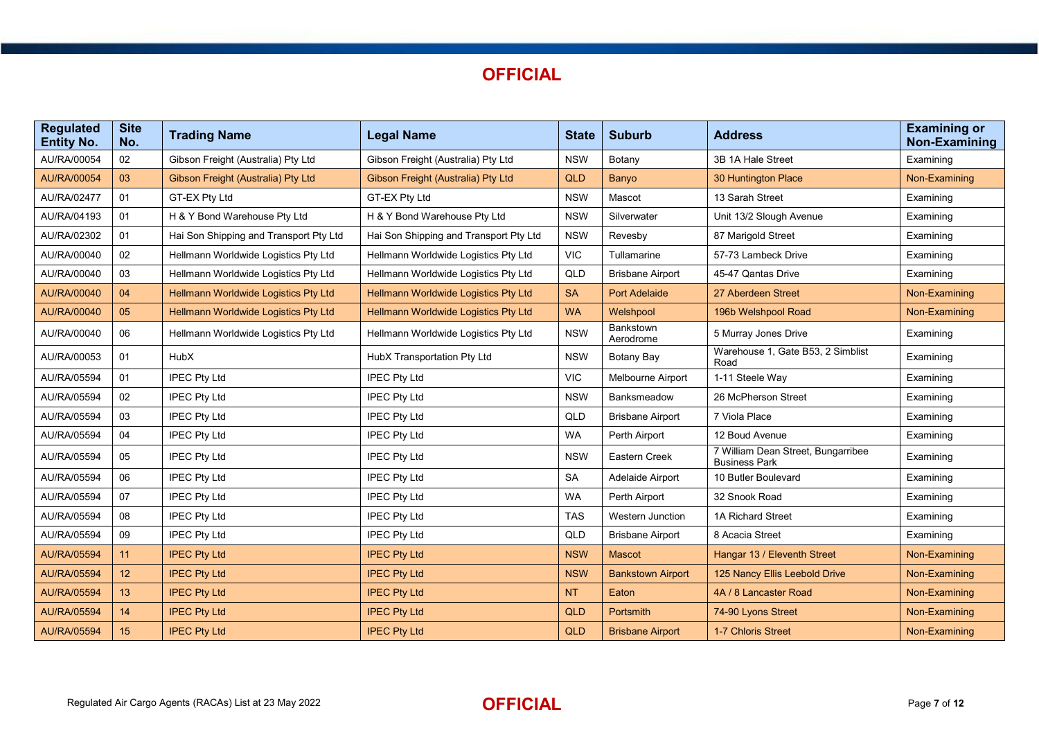| <b>Regulated</b><br><b>Entity No.</b> | <b>Site</b><br>No. | <b>Trading Name</b>                    | <b>Legal Name</b>                      | <b>State</b> | <b>Suburb</b>            | <b>Address</b>                                             | <b>Examining or</b><br><b>Non-Examining</b> |
|---------------------------------------|--------------------|----------------------------------------|----------------------------------------|--------------|--------------------------|------------------------------------------------------------|---------------------------------------------|
| AU/RA/00054                           | 02                 | Gibson Freight (Australia) Pty Ltd     | Gibson Freight (Australia) Pty Ltd     | <b>NSW</b>   | Botany                   | 3B 1A Hale Street                                          | Examining                                   |
| AU/RA/00054                           | 03                 | Gibson Freight (Australia) Pty Ltd     | Gibson Freight (Australia) Pty Ltd     | <b>QLD</b>   | Banyo                    | 30 Huntington Place                                        | Non-Examining                               |
| AU/RA/02477                           | 01                 | GT-EX Pty Ltd                          | GT-EX Pty Ltd                          | <b>NSW</b>   | Mascot                   | 13 Sarah Street                                            | Examining                                   |
| AU/RA/04193                           | 01                 | H & Y Bond Warehouse Pty Ltd           | H & Y Bond Warehouse Pty Ltd           | <b>NSW</b>   | Silverwater              | Unit 13/2 Slough Avenue                                    | Examining                                   |
| AU/RA/02302                           | 01                 | Hai Son Shipping and Transport Pty Ltd | Hai Son Shipping and Transport Pty Ltd | <b>NSW</b>   | Revesby                  | 87 Marigold Street                                         | Examining                                   |
| AU/RA/00040                           | 02                 | Hellmann Worldwide Logistics Pty Ltd   | Hellmann Worldwide Logistics Pty Ltd   | <b>VIC</b>   | Tullamarine              | 57-73 Lambeck Drive                                        | Examining                                   |
| AU/RA/00040                           | 03                 | Hellmann Worldwide Logistics Pty Ltd   | Hellmann Worldwide Logistics Pty Ltd   | QLD          | <b>Brisbane Airport</b>  | 45-47 Qantas Drive                                         | Examining                                   |
| AU/RA/00040                           | 04                 | Hellmann Worldwide Logistics Pty Ltd   | Hellmann Worldwide Logistics Pty Ltd   | <b>SA</b>    | <b>Port Adelaide</b>     | 27 Aberdeen Street                                         | Non-Examining                               |
| AU/RA/00040                           | 05                 | Hellmann Worldwide Logistics Pty Ltd   | Hellmann Worldwide Logistics Pty Ltd   | <b>WA</b>    | Welshpool                | 196b Welshpool Road                                        | Non-Examining                               |
| AU/RA/00040                           | 06                 | Hellmann Worldwide Logistics Pty Ltd   | Hellmann Worldwide Logistics Pty Ltd   | <b>NSW</b>   | Bankstown<br>Aerodrome   | 5 Murray Jones Drive                                       | Examining                                   |
| AU/RA/00053                           | 01                 | HubX                                   | HubX Transportation Pty Ltd            | <b>NSW</b>   | Botany Bay               | Warehouse 1, Gate B53, 2 Simblist<br>Road                  | Examining                                   |
| AU/RA/05594                           | 01                 | <b>IPEC Pty Ltd</b>                    | <b>IPEC Pty Ltd</b>                    | <b>VIC</b>   | Melbourne Airport        | 1-11 Steele Way                                            | Examining                                   |
| AU/RA/05594                           | 02                 | <b>IPEC Pty Ltd</b>                    | <b>IPEC Pty Ltd</b>                    | <b>NSW</b>   | Banksmeadow              | 26 McPherson Street                                        | Examining                                   |
| AU/RA/05594                           | 03                 | <b>IPEC Pty Ltd</b>                    | <b>IPEC Pty Ltd</b>                    | QLD          | <b>Brisbane Airport</b>  | 7 Viola Place                                              | Examining                                   |
| AU/RA/05594                           | 04                 | <b>IPEC Pty Ltd</b>                    | <b>IPEC Pty Ltd</b>                    | <b>WA</b>    | Perth Airport            | 12 Boud Avenue                                             | Examining                                   |
| AU/RA/05594                           | 05                 | <b>IPEC Pty Ltd</b>                    | <b>IPEC Pty Ltd</b>                    | <b>NSW</b>   | Eastern Creek            | 7 William Dean Street, Bungarribee<br><b>Business Park</b> | Examining                                   |
| AU/RA/05594                           | 06                 | <b>IPEC Pty Ltd</b>                    | <b>IPEC Pty Ltd</b>                    | <b>SA</b>    | Adelaide Airport         | 10 Butler Boulevard                                        | Examining                                   |
| AU/RA/05594                           | 07                 | <b>IPEC Pty Ltd</b>                    | <b>IPEC Pty Ltd</b>                    | <b>WA</b>    | Perth Airport            | 32 Snook Road                                              | Examining                                   |
| AU/RA/05594                           | 08                 | <b>IPEC Pty Ltd</b>                    | <b>IPEC Pty Ltd</b>                    | <b>TAS</b>   | Western Junction         | 1A Richard Street                                          | Examining                                   |
| AU/RA/05594                           | 09                 | <b>IPEC Pty Ltd</b>                    | <b>IPEC Pty Ltd</b>                    | QLD          | <b>Brisbane Airport</b>  | 8 Acacia Street                                            | Examining                                   |
| <b>AU/RA/05594</b>                    | 11                 | <b>IPEC Pty Ltd</b>                    | <b>IPEC Pty Ltd</b>                    | <b>NSW</b>   | <b>Mascot</b>            | Hangar 13 / Eleventh Street                                | Non-Examining                               |
| <b>AU/RA/05594</b>                    | 12                 | <b>IPEC Pty Ltd</b>                    | <b>IPEC Pty Ltd</b>                    | <b>NSW</b>   | <b>Bankstown Airport</b> | 125 Nancy Ellis Leebold Drive                              | Non-Examining                               |
| <b>AU/RA/05594</b>                    | 13                 | <b>IPEC Pty Ltd</b>                    | <b>IPEC Pty Ltd</b>                    | <b>NT</b>    | Eaton                    | 4A / 8 Lancaster Road                                      | Non-Examining                               |
| <b>AU/RA/05594</b>                    | 14                 | <b>IPEC Pty Ltd</b>                    | <b>IPEC Pty Ltd</b>                    | <b>QLD</b>   | Portsmith                | 74-90 Lyons Street                                         | Non-Examining                               |
| <b>AU/RA/05594</b>                    | 15                 | <b>IPEC Pty Ltd</b>                    | <b>IPEC Pty Ltd</b>                    | <b>QLD</b>   | <b>Brisbane Airport</b>  | 1-7 Chloris Street                                         | Non-Examining                               |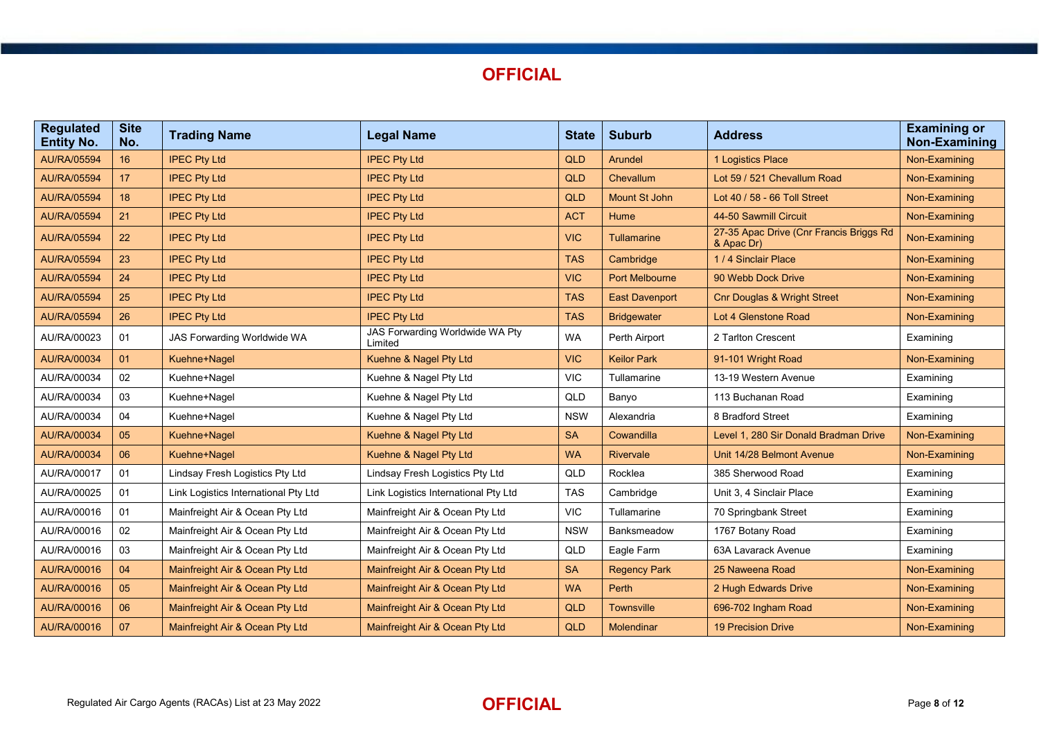

| <b>Regulated</b><br><b>Entity No.</b> | <b>Site</b><br>No. | <b>Trading Name</b>                  | <b>Legal Name</b>                          | <b>State</b> | <b>Suburb</b>         | <b>Address</b>                                        | <b>Examining or</b><br>Non-Examining |
|---------------------------------------|--------------------|--------------------------------------|--------------------------------------------|--------------|-----------------------|-------------------------------------------------------|--------------------------------------|
| <b>AU/RA/05594</b>                    | 16                 | <b>IPEC Pty Ltd</b>                  | <b>IPEC Pty Ltd</b>                        | QLD          | Arundel               | 1 Logistics Place                                     | Non-Examining                        |
| <b>AU/RA/05594</b>                    | 17                 | <b>IPEC Pty Ltd</b>                  | <b>IPEC Pty Ltd</b>                        | <b>QLD</b>   | Chevallum             | Lot 59 / 521 Chevallum Road                           | Non-Examining                        |
| <b>AU/RA/05594</b>                    | 18                 | <b>IPEC Pty Ltd</b>                  | <b>IPEC Pty Ltd</b>                        | <b>QLD</b>   | <b>Mount St John</b>  | Lot 40 / 58 - 66 Toll Street                          | Non-Examining                        |
| <b>AU/RA/05594</b>                    | 21                 | <b>IPEC Pty Ltd</b>                  | <b>IPEC Pty Ltd</b>                        | <b>ACT</b>   | Hume                  | 44-50 Sawmill Circuit                                 | Non-Examining                        |
| AU/RA/05594                           | 22                 | <b>IPEC Pty Ltd</b>                  | <b>IPEC Pty Ltd</b>                        | <b>VIC</b>   | Tullamarine           | 27-35 Apac Drive (Cnr Francis Briggs Rd<br>& Apac Dr) | Non-Examining                        |
| <b>AU/RA/05594</b>                    | 23                 | <b>IPEC Pty Ltd</b>                  | <b>IPEC Pty Ltd</b>                        | <b>TAS</b>   | Cambridge             | 1/4 Sinclair Place                                    | Non-Examining                        |
| <b>AU/RA/05594</b>                    | 24                 | <b>IPEC Pty Ltd</b>                  | <b>IPEC Pty Ltd</b>                        | <b>VIC</b>   | <b>Port Melbourne</b> | 90 Webb Dock Drive                                    | Non-Examining                        |
| <b>AU/RA/05594</b>                    | 25                 | <b>IPEC Pty Ltd</b>                  | <b>IPEC Pty Ltd</b>                        | <b>TAS</b>   | <b>East Davenport</b> | <b>Cnr Douglas &amp; Wright Street</b>                | Non-Examining                        |
| <b>AU/RA/05594</b>                    | 26                 | <b>IPEC Pty Ltd</b>                  | <b>IPEC Pty Ltd</b>                        | <b>TAS</b>   | <b>Bridgewater</b>    | Lot 4 Glenstone Road                                  | Non-Examining                        |
| AU/RA/00023                           | 01                 | JAS Forwarding Worldwide WA          | JAS Forwarding Worldwide WA Pty<br>Limited | <b>WA</b>    | Perth Airport         | 2 Tarlton Crescent                                    | Examining                            |
| AU/RA/00034                           | 01                 | Kuehne+Nagel                         | Kuehne & Nagel Pty Ltd                     | <b>VIC</b>   | <b>Keilor Park</b>    | 91-101 Wright Road                                    | Non-Examining                        |
| AU/RA/00034                           | 02                 | Kuehne+Nagel                         | Kuehne & Nagel Pty Ltd                     | <b>VIC</b>   | Tullamarine           | 13-19 Western Avenue                                  | Examining                            |
| AU/RA/00034                           | 03                 | Kuehne+Nagel                         | Kuehne & Nagel Pty Ltd                     | QLD          | Banyo                 | 113 Buchanan Road                                     | Examining                            |
| AU/RA/00034                           | 04                 | Kuehne+Nagel                         | Kuehne & Nagel Pty Ltd                     | <b>NSW</b>   | Alexandria            | 8 Bradford Street                                     | Examining                            |
| AU/RA/00034                           | 05                 | Kuehne+Nagel                         | Kuehne & Nagel Pty Ltd                     | <b>SA</b>    | Cowandilla            | Level 1, 280 Sir Donald Bradman Drive                 | Non-Examining                        |
| AU/RA/00034                           | 06                 | Kuehne+Nagel                         | Kuehne & Nagel Pty Ltd                     | <b>WA</b>    | <b>Rivervale</b>      | Unit 14/28 Belmont Avenue                             | Non-Examining                        |
| AU/RA/00017                           | 01                 | Lindsay Fresh Logistics Pty Ltd      | Lindsay Fresh Logistics Pty Ltd            | QLD          | Rocklea               | 385 Sherwood Road                                     | Examining                            |
| AU/RA/00025                           | 01                 | Link Logistics International Pty Ltd | Link Logistics International Pty Ltd       | <b>TAS</b>   | Cambridge             | Unit 3, 4 Sinclair Place                              | Examining                            |
| AU/RA/00016                           | 01                 | Mainfreight Air & Ocean Pty Ltd      | Mainfreight Air & Ocean Pty Ltd            | VIC.         | Tullamarine           | 70 Springbank Street                                  | Examining                            |
| AU/RA/00016                           | 02                 | Mainfreight Air & Ocean Pty Ltd      | Mainfreight Air & Ocean Pty Ltd            | <b>NSW</b>   | Banksmeadow           | 1767 Botany Road                                      | Examining                            |
| AU/RA/00016                           | 03                 | Mainfreight Air & Ocean Pty Ltd      | Mainfreight Air & Ocean Pty Ltd            | QLD          | Eagle Farm            | 63A Lavarack Avenue                                   | Examining                            |
| AU/RA/00016                           | 04                 | Mainfreight Air & Ocean Pty Ltd      | Mainfreight Air & Ocean Pty Ltd            | <b>SA</b>    | <b>Regency Park</b>   | 25 Naweena Road                                       | Non-Examining                        |
| AU/RA/00016                           | 05                 | Mainfreight Air & Ocean Pty Ltd      | Mainfreight Air & Ocean Pty Ltd            | <b>WA</b>    | Perth                 | 2 Hugh Edwards Drive                                  | Non-Examining                        |
| AU/RA/00016                           | 06                 | Mainfreight Air & Ocean Pty Ltd      | Mainfreight Air & Ocean Pty Ltd            | <b>QLD</b>   | <b>Townsville</b>     | 696-702 Ingham Road                                   | Non-Examining                        |
| AU/RA/00016                           | 07                 | Mainfreight Air & Ocean Pty Ltd      | Mainfreight Air & Ocean Pty Ltd            | <b>QLD</b>   | <b>Molendinar</b>     | <b>19 Precision Drive</b>                             | Non-Examining                        |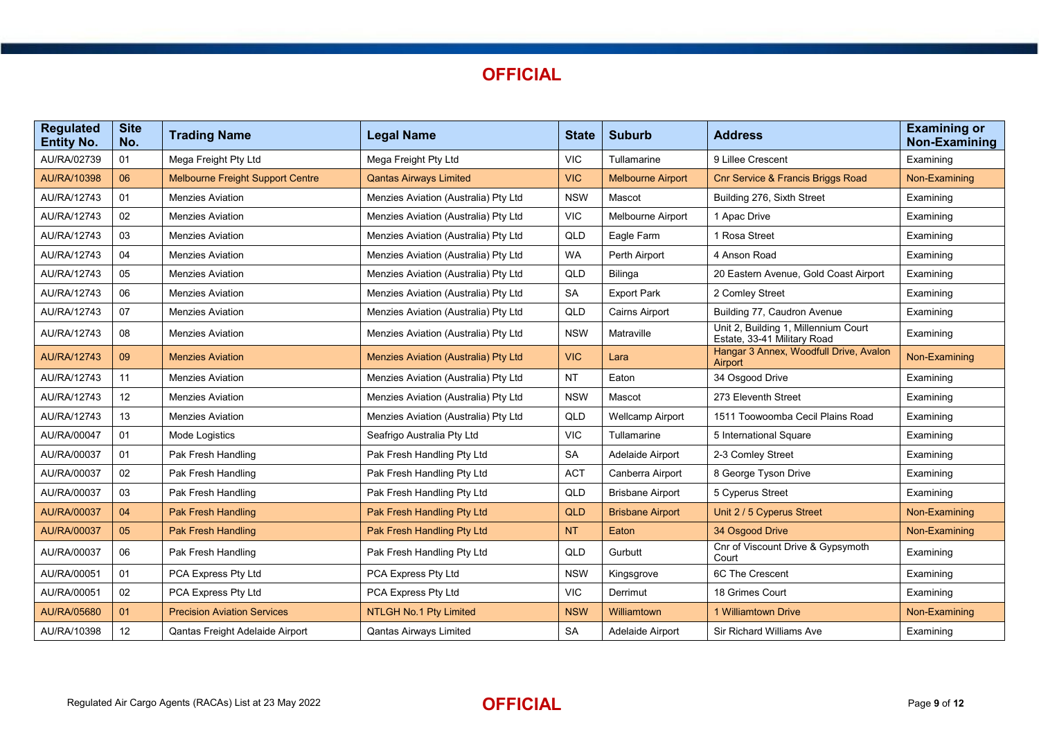| <b>Regulated</b><br><b>Entity No.</b> | <b>Site</b><br>No. | <b>Trading Name</b>                     | <b>Legal Name</b>                    | <b>State</b> | <b>Suburb</b>            | <b>Address</b>                                                      | <b>Examining or</b><br><b>Non-Examining</b> |
|---------------------------------------|--------------------|-----------------------------------------|--------------------------------------|--------------|--------------------------|---------------------------------------------------------------------|---------------------------------------------|
| AU/RA/02739                           | 01                 | Mega Freight Pty Ltd                    | Mega Freight Pty Ltd                 | <b>VIC</b>   | Tullamarine              | 9 Lillee Crescent                                                   | Examining                                   |
| AU/RA/10398                           | 06                 | <b>Melbourne Freight Support Centre</b> | <b>Qantas Airways Limited</b>        | <b>VIC</b>   | <b>Melbourne Airport</b> | <b>Cnr Service &amp; Francis Briggs Road</b>                        | Non-Examining                               |
| AU/RA/12743                           | 01                 | <b>Menzies Aviation</b>                 | Menzies Aviation (Australia) Pty Ltd | <b>NSW</b>   | Mascot                   | Building 276, Sixth Street                                          | Examining                                   |
| AU/RA/12743                           | 02                 | <b>Menzies Aviation</b>                 | Menzies Aviation (Australia) Pty Ltd | <b>VIC</b>   | Melbourne Airport        | 1 Apac Drive                                                        | Examining                                   |
| AU/RA/12743                           | 03                 | <b>Menzies Aviation</b>                 | Menzies Aviation (Australia) Pty Ltd | QLD          | Eagle Farm               | 1 Rosa Street                                                       | Examining                                   |
| AU/RA/12743                           | 04                 | <b>Menzies Aviation</b>                 | Menzies Aviation (Australia) Pty Ltd | <b>WA</b>    | Perth Airport            | 4 Anson Road                                                        | Examining                                   |
| AU/RA/12743                           | 05                 | <b>Menzies Aviation</b>                 | Menzies Aviation (Australia) Pty Ltd | QLD          | <b>Bilinga</b>           | 20 Eastern Avenue, Gold Coast Airport                               | Examining                                   |
| AU/RA/12743                           | 06                 | <b>Menzies Aviation</b>                 | Menzies Aviation (Australia) Pty Ltd | <b>SA</b>    | <b>Export Park</b>       | 2 Comley Street                                                     | Examining                                   |
| AU/RA/12743                           | 07                 | <b>Menzies Aviation</b>                 | Menzies Aviation (Australia) Pty Ltd | QLD          | <b>Cairns Airport</b>    | Building 77, Caudron Avenue                                         | Examining                                   |
| AU/RA/12743                           | 08                 | <b>Menzies Aviation</b>                 | Menzies Aviation (Australia) Pty Ltd | <b>NSW</b>   | Matraville               | Unit 2, Building 1, Millennium Court<br>Estate, 33-41 Military Road | Examining                                   |
| <b>AU/RA/12743</b>                    | 09                 | <b>Menzies Aviation</b>                 | Menzies Aviation (Australia) Pty Ltd | <b>VIC</b>   | Lara                     | Hangar 3 Annex, Woodfull Drive, Avalon<br>Airport                   | Non-Examining                               |
| AU/RA/12743                           | 11                 | <b>Menzies Aviation</b>                 | Menzies Aviation (Australia) Pty Ltd | <b>NT</b>    | Eaton                    | 34 Osgood Drive                                                     | Examining                                   |
| AU/RA/12743                           | 12                 | <b>Menzies Aviation</b>                 | Menzies Aviation (Australia) Pty Ltd | <b>NSW</b>   | Mascot                   | 273 Eleventh Street                                                 | Examining                                   |
| AU/RA/12743                           | 13                 | <b>Menzies Aviation</b>                 | Menzies Aviation (Australia) Pty Ltd | QLD          | Wellcamp Airport         | 1511 Toowoomba Cecil Plains Road                                    | Examining                                   |
| AU/RA/00047                           | 01                 | Mode Logistics                          | Seafrigo Australia Pty Ltd           | <b>VIC</b>   | Tullamarine              | 5 International Square                                              | Examining                                   |
| AU/RA/00037                           | 01                 | Pak Fresh Handling                      | Pak Fresh Handling Pty Ltd           | <b>SA</b>    | Adelaide Airport         | 2-3 Comley Street                                                   | Examining                                   |
| AU/RA/00037                           | 02                 | Pak Fresh Handling                      | Pak Fresh Handling Pty Ltd           | <b>ACT</b>   | Canberra Airport         | 8 George Tyson Drive                                                | Examining                                   |
| AU/RA/00037                           | 03                 | Pak Fresh Handling                      | Pak Fresh Handling Pty Ltd           | QLD          | <b>Brisbane Airport</b>  | 5 Cyperus Street                                                    | Examining                                   |
| AU/RA/00037                           | 04                 | <b>Pak Fresh Handling</b>               | Pak Fresh Handling Pty Ltd           | <b>QLD</b>   | <b>Brisbane Airport</b>  | Unit 2 / 5 Cyperus Street                                           | Non-Examining                               |
| AU/RA/00037                           | 05                 | Pak Fresh Handling                      | Pak Fresh Handling Pty Ltd           | <b>NT</b>    | Eaton                    | 34 Osgood Drive                                                     | Non-Examining                               |
| AU/RA/00037                           | 06                 | Pak Fresh Handling                      | Pak Fresh Handling Pty Ltd           | QLD          | Gurbutt                  | Cnr of Viscount Drive & Gypsymoth<br>Court                          | Examining                                   |
| AU/RA/00051                           | 01                 | PCA Express Pty Ltd                     | PCA Express Pty Ltd                  | <b>NSW</b>   | Kingsgrove               | 6C The Crescent                                                     | Examining                                   |
| AU/RA/00051                           | 02                 | PCA Express Pty Ltd                     | PCA Express Pty Ltd                  | <b>VIC</b>   | Derrimut                 | 18 Grimes Court                                                     | Examining                                   |
| AU/RA/05680                           | 01                 | <b>Precision Aviation Services</b>      | NTLGH No.1 Pty Limited               | <b>NSW</b>   | Williamtown              | 1 Williamtown Drive                                                 | Non-Examining                               |
| AU/RA/10398                           | 12                 | Qantas Freight Adelaide Airport         | <b>Qantas Airways Limited</b>        | <b>SA</b>    | Adelaide Airport         | <b>Sir Richard Williams Ave</b>                                     | Examining                                   |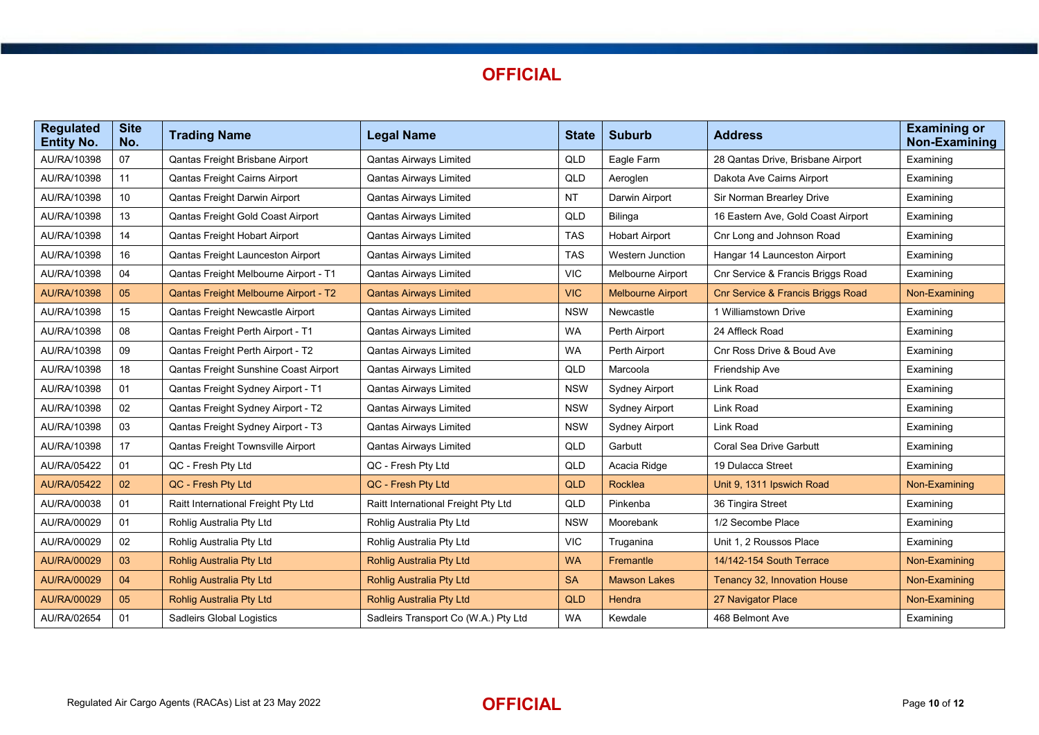

| <b>Regulated</b><br><b>Entity No.</b> | <b>Site</b><br>No. | <b>Trading Name</b>                   | <b>Legal Name</b>                    | <b>State</b> | <b>Suburb</b>            | <b>Address</b>                               | <b>Examining or</b><br>Non-Examining |
|---------------------------------------|--------------------|---------------------------------------|--------------------------------------|--------------|--------------------------|----------------------------------------------|--------------------------------------|
| AU/RA/10398                           | 07                 | Qantas Freight Brisbane Airport       | <b>Qantas Airways Limited</b>        | QLD          | Eagle Farm               | 28 Qantas Drive, Brisbane Airport            | Examining                            |
| AU/RA/10398                           | 11                 | Qantas Freight Cairns Airport         | Qantas Airways Limited               | QLD          | Aeroglen                 | Dakota Ave Cairns Airport                    | Examining                            |
| AU/RA/10398                           | 10 <sup>°</sup>    | Qantas Freight Darwin Airport         | <b>Qantas Airways Limited</b>        | <b>NT</b>    | Darwin Airport           | Sir Norman Brearley Drive                    | Examining                            |
| AU/RA/10398                           | 13                 | Qantas Freight Gold Coast Airport     | Qantas Airways Limited               | QLD          | <b>Bilinga</b>           | 16 Eastern Ave, Gold Coast Airport           | Examining                            |
| AU/RA/10398                           | 14                 | Qantas Freight Hobart Airport         | <b>Qantas Airways Limited</b>        | <b>TAS</b>   | <b>Hobart Airport</b>    | Cnr Long and Johnson Road                    | Examining                            |
| AU/RA/10398                           | 16                 | Qantas Freight Launceston Airport     | <b>Qantas Airways Limited</b>        | <b>TAS</b>   | <b>Western Junction</b>  | Hangar 14 Launceston Airport                 | Examining                            |
| AU/RA/10398                           | 04                 | Qantas Freight Melbourne Airport - T1 | <b>Qantas Airways Limited</b>        | <b>VIC</b>   | Melbourne Airport        | Cnr Service & Francis Briggs Road            | Examining                            |
| AU/RA/10398                           | 05                 | Qantas Freight Melbourne Airport - T2 | <b>Qantas Airways Limited</b>        | <b>VIC</b>   | <b>Melbourne Airport</b> | <b>Cnr Service &amp; Francis Briggs Road</b> | Non-Examining                        |
| AU/RA/10398                           | 15                 | Qantas Freight Newcastle Airport      | <b>Qantas Airways Limited</b>        | <b>NSW</b>   | Newcastle                | 1 Williamstown Drive                         | Examining                            |
| AU/RA/10398                           | 08                 | Qantas Freight Perth Airport - T1     | Qantas Airways Limited               | <b>WA</b>    | Perth Airport            | 24 Affleck Road                              | Examining                            |
| AU/RA/10398                           | 09                 | Qantas Freight Perth Airport - T2     | Qantas Airways Limited               | <b>WA</b>    | Perth Airport            | Cnr Ross Drive & Boud Ave                    | Examining                            |
| AU/RA/10398                           | 18                 | Qantas Freight Sunshine Coast Airport | <b>Qantas Airways Limited</b>        | QLD          | Marcoola                 | Friendship Ave                               | Examining                            |
| AU/RA/10398                           | 01                 | Qantas Freight Sydney Airport - T1    | <b>Qantas Airways Limited</b>        | <b>NSW</b>   | <b>Sydney Airport</b>    | Link Road                                    | Examining                            |
| AU/RA/10398                           | 02                 | Qantas Freight Sydney Airport - T2    | Qantas Airways Limited               | <b>NSW</b>   | <b>Sydney Airport</b>    | Link Road                                    | Examining                            |
| AU/RA/10398                           | 03                 | Qantas Freight Sydney Airport - T3    | Qantas Airways Limited               | <b>NSW</b>   | <b>Sydney Airport</b>    | Link Road                                    | Examining                            |
| AU/RA/10398                           | 17                 | Qantas Freight Townsville Airport     | Qantas Airways Limited               | QLD          | Garbutt                  | Coral Sea Drive Garbutt                      | Examining                            |
| AU/RA/05422                           | 01                 | QC - Fresh Pty Ltd                    | QC - Fresh Pty Ltd                   | QLD          | Acacia Ridge             | 19 Dulacca Street                            | Examining                            |
| <b>AU/RA/05422</b>                    | 02                 | QC - Fresh Pty Ltd                    | QC - Fresh Pty Ltd                   | <b>QLD</b>   | <b>Rocklea</b>           | Unit 9, 1311 Ipswich Road                    | Non-Examining                        |
| AU/RA/00038                           | 01                 | Raitt International Freight Pty Ltd   | Raitt International Freight Pty Ltd  | QLD          | Pinkenba                 | 36 Tingira Street                            | Examining                            |
| AU/RA/00029                           | 01                 | Rohlig Australia Pty Ltd              | Rohlig Australia Pty Ltd             | <b>NSW</b>   | Moorebank                | 1/2 Secombe Place                            | Examining                            |
| AU/RA/00029                           | 02                 | Rohlig Australia Pty Ltd              | Rohlig Australia Pty Ltd             | <b>VIC</b>   | Truganina                | Unit 1, 2 Roussos Place                      | Examining                            |
| AU/RA/00029                           | 03                 | <b>Rohlig Australia Pty Ltd</b>       | <b>Rohlig Australia Pty Ltd</b>      | <b>WA</b>    | Fremantle                | 14/142-154 South Terrace                     | Non-Examining                        |
| AU/RA/00029                           | 04                 | <b>Rohlig Australia Pty Ltd</b>       | <b>Rohlig Australia Pty Ltd</b>      | <b>SA</b>    | <b>Mawson Lakes</b>      | Tenancy 32, Innovation House                 | Non-Examining                        |
| AU/RA/00029                           | 05                 | <b>Rohlig Australia Pty Ltd</b>       | <b>Rohlig Australia Pty Ltd</b>      | QLD          | <b>Hendra</b>            | 27 Navigator Place                           | Non-Examining                        |
| AU/RA/02654                           | 01                 | Sadleirs Global Logistics             | Sadleirs Transport Co (W.A.) Pty Ltd | <b>WA</b>    | Kewdale                  | 468 Belmont Ave                              | Examining                            |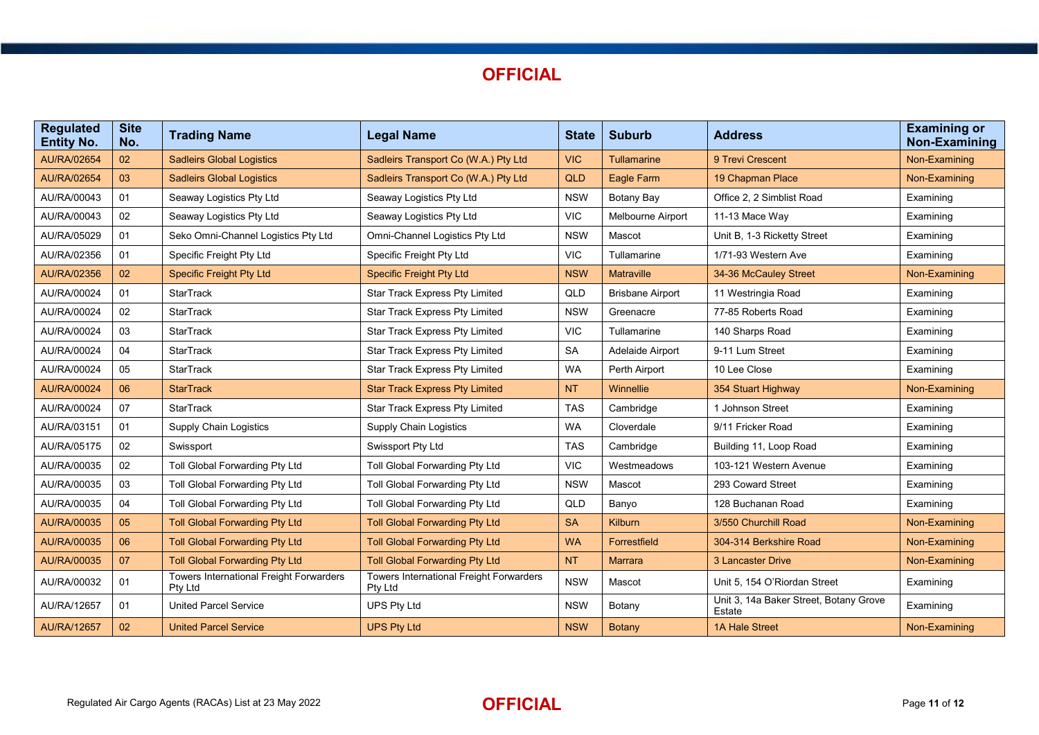| <b>Regulated</b><br><b>Entity No.</b> | <b>Site</b><br>No. | <b>Trading Name</b>                                       | <b>Legal Name</b>                                         | <b>State</b> | <b>Suburb</b>           | <b>Address</b>                                   | <b>Examining or</b><br><b>Non-Examining</b> |
|---------------------------------------|--------------------|-----------------------------------------------------------|-----------------------------------------------------------|--------------|-------------------------|--------------------------------------------------|---------------------------------------------|
| <b>AU/RA/02654</b>                    | 02                 | <b>Sadleirs Global Logistics</b>                          | Sadleirs Transport Co (W.A.) Pty Ltd                      | <b>VIC</b>   | <b>Tullamarine</b>      | 9 Trevi Crescent                                 | Non-Examining                               |
| <b>AU/RA/02654</b>                    | 03                 | <b>Sadleirs Global Logistics</b>                          | Sadleirs Transport Co (W.A.) Pty Ltd                      | <b>QLD</b>   | <b>Eagle Farm</b>       | 19 Chapman Place                                 | Non-Examining                               |
| AU/RA/00043                           | 01                 | Seaway Logistics Pty Ltd                                  | Seaway Logistics Pty Ltd                                  | <b>NSW</b>   | Botany Bay              | Office 2. 2 Simblist Road                        | Examining                                   |
| AU/RA/00043                           | 02                 | Seaway Logistics Pty Ltd                                  | Seaway Logistics Pty Ltd                                  | <b>VIC</b>   | Melbourne Airport       | 11-13 Mace Way                                   | Examining                                   |
| AU/RA/05029                           | 01                 | Seko Omni-Channel Logistics Pty Ltd                       | Omni-Channel Logistics Pty Ltd                            | <b>NSW</b>   | Mascot                  | Unit B, 1-3 Ricketty Street                      | Examining                                   |
| AU/RA/02356                           | 01                 | Specific Freight Pty Ltd                                  | Specific Freight Pty Ltd                                  | <b>VIC</b>   | Tullamarine             | 1/71-93 Western Ave                              | Examining                                   |
| AU/RA/02356                           | 02                 | <b>Specific Freight Pty Ltd</b>                           | <b>Specific Freight Pty Ltd</b>                           | <b>NSW</b>   | <b>Matraville</b>       | 34-36 McCauley Street                            | Non-Examining                               |
| AU/RA/00024                           | 01                 | <b>StarTrack</b>                                          | <b>Star Track Express Pty Limited</b>                     | QLD          | <b>Brisbane Airport</b> | 11 Westringia Road                               | Examining                                   |
| AU/RA/00024                           | 02                 | <b>StarTrack</b>                                          | <b>Star Track Express Pty Limited</b>                     | <b>NSW</b>   | Greenacre               | 77-85 Roberts Road                               | Examining                                   |
| AU/RA/00024                           | 03                 | <b>StarTrack</b>                                          | <b>Star Track Express Pty Limited</b>                     | <b>VIC</b>   | Tullamarine             | 140 Sharps Road                                  | Examining                                   |
| AU/RA/00024                           | 04                 | <b>StarTrack</b>                                          | <b>Star Track Express Pty Limited</b>                     | <b>SA</b>    | Adelaide Airport        | 9-11 Lum Street                                  | Examining                                   |
| AU/RA/00024                           | 05                 | StarTrack                                                 | <b>Star Track Express Pty Limited</b>                     | <b>WA</b>    | Perth Airport           | 10 Lee Close                                     | Examining                                   |
| <b>AU/RA/00024</b>                    | 06                 | <b>StarTrack</b>                                          | <b>Star Track Express Pty Limited</b>                     | <b>NT</b>    | Winnellie               | 354 Stuart Highway                               | Non-Examining                               |
| AU/RA/00024                           | 07                 | <b>StarTrack</b>                                          | Star Track Express Pty Limited                            | <b>TAS</b>   | Cambridge               | 1 Johnson Street                                 | Examining                                   |
| AU/RA/03151                           | 01                 | <b>Supply Chain Logistics</b>                             | <b>Supply Chain Logistics</b>                             | <b>WA</b>    | Cloverdale              | 9/11 Fricker Road                                | Examining                                   |
| AU/RA/05175                           | 02                 | Swissport                                                 | Swissport Pty Ltd                                         | <b>TAS</b>   | Cambridge               | Building 11, Loop Road                           | Examining                                   |
| AU/RA/00035                           | 02                 | Toll Global Forwarding Pty Ltd                            | Toll Global Forwarding Pty Ltd                            | <b>VIC</b>   | Westmeadows             | 103-121 Western Avenue                           | Examining                                   |
| AU/RA/00035                           | 03                 | Toll Global Forwarding Pty Ltd                            | Toll Global Forwarding Pty Ltd                            | <b>NSW</b>   | Mascot                  | 293 Coward Street                                | Examining                                   |
| AU/RA/00035                           | 04                 | Toll Global Forwarding Pty Ltd                            | Toll Global Forwarding Pty Ltd                            | QLD          | Banyo                   | 128 Buchanan Road                                | Examining                                   |
| AU/RA/00035                           | 05                 | <b>Toll Global Forwarding Pty Ltd</b>                     | <b>Toll Global Forwarding Pty Ltd</b>                     | <b>SA</b>    | Kilburn                 | 3/550 Churchill Road                             | Non-Examining                               |
| AU/RA/00035                           | 06                 | <b>Toll Global Forwarding Pty Ltd</b>                     | <b>Toll Global Forwarding Pty Ltd</b>                     | <b>WA</b>    | Forrestfield            | 304-314 Berkshire Road                           | Non-Examining                               |
| AU/RA/00035                           | 07                 | <b>Toll Global Forwarding Pty Ltd</b>                     | <b>Toll Global Forwarding Pty Ltd</b>                     | <b>NT</b>    | <b>Marrara</b>          | <b>3 Lancaster Drive</b>                         | Non-Examining                               |
| AU/RA/00032                           | 01                 | <b>Towers International Freight Forwarders</b><br>Pty Ltd | <b>Towers International Freight Forwarders</b><br>Pty Ltd | <b>NSW</b>   | Mascot                  | Unit 5, 154 O'Riordan Street                     | Examining                                   |
| AU/RA/12657                           | 01                 | <b>United Parcel Service</b>                              | UPS Pty Ltd                                               | <b>NSW</b>   | Botany                  | Unit 3, 14a Baker Street, Botany Grove<br>Estate | Examining                                   |
| <b>AU/RA/12657</b>                    | 02                 | <b>United Parcel Service</b>                              | <b>UPS Pty Ltd</b>                                        | <b>NSW</b>   | <b>Botany</b>           | <b>1A Hale Street</b>                            | Non-Examining                               |